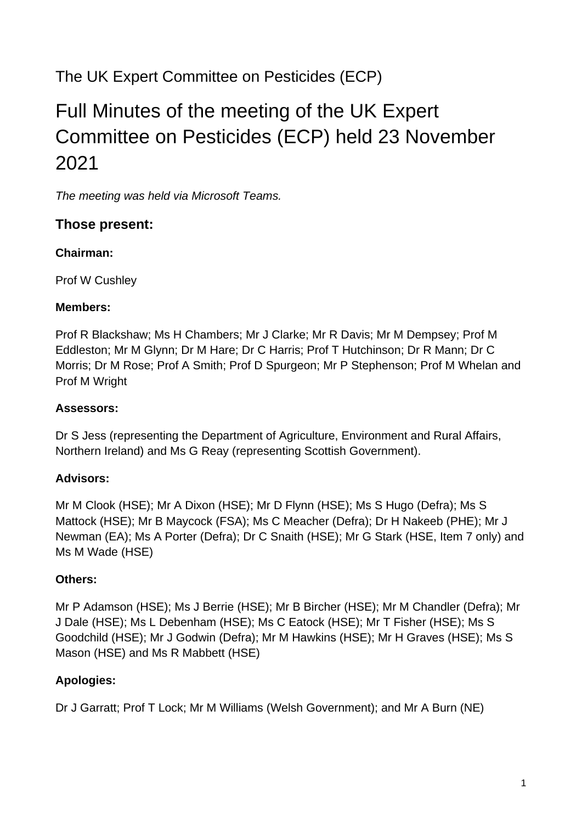## The UK Expert Committee on Pesticides (ECP)

# Full Minutes of the meeting of the UK Expert Committee on Pesticides (ECP) held 23 November 2021

*The meeting was held via Microsoft Teams.*

#### **Those present:**

#### **Chairman:**

Prof W Cushley

#### **Members:**

Prof R Blackshaw; Ms H Chambers; Mr J Clarke; Mr R Davis; Mr M Dempsey; Prof M Eddleston; Mr M Glynn; Dr M Hare; Dr C Harris; Prof T Hutchinson; Dr R Mann; Dr C Morris; Dr M Rose; Prof A Smith; Prof D Spurgeon; Mr P Stephenson; Prof M Whelan and Prof M Wright

#### **Assessors:**

Dr S Jess (representing the Department of Agriculture, Environment and Rural Affairs, Northern Ireland) and Ms G Reay (representing Scottish Government).

#### **Advisors:**

Mr M Clook (HSE); Mr A Dixon (HSE); Mr D Flynn (HSE); Ms S Hugo (Defra); Ms S Mattock (HSE); Mr B Maycock (FSA); Ms C Meacher (Defra); Dr H Nakeeb (PHE); Mr J Newman (EA); Ms A Porter (Defra); Dr C Snaith (HSE); Mr G Stark (HSE, Item 7 only) and Ms M Wade (HSE)

#### **Others:**

Mr P Adamson (HSE); Ms J Berrie (HSE); Mr B Bircher (HSE); Mr M Chandler (Defra); Mr J Dale (HSE); Ms L Debenham (HSE); Ms C Eatock (HSE); Mr T Fisher (HSE); Ms S Goodchild (HSE); Mr J Godwin (Defra); Mr M Hawkins (HSE); Mr H Graves (HSE); Ms S Mason (HSE) and Ms R Mabbett (HSE)

#### **Apologies:**

Dr J Garratt; Prof T Lock; Mr M Williams (Welsh Government); and Mr A Burn (NE)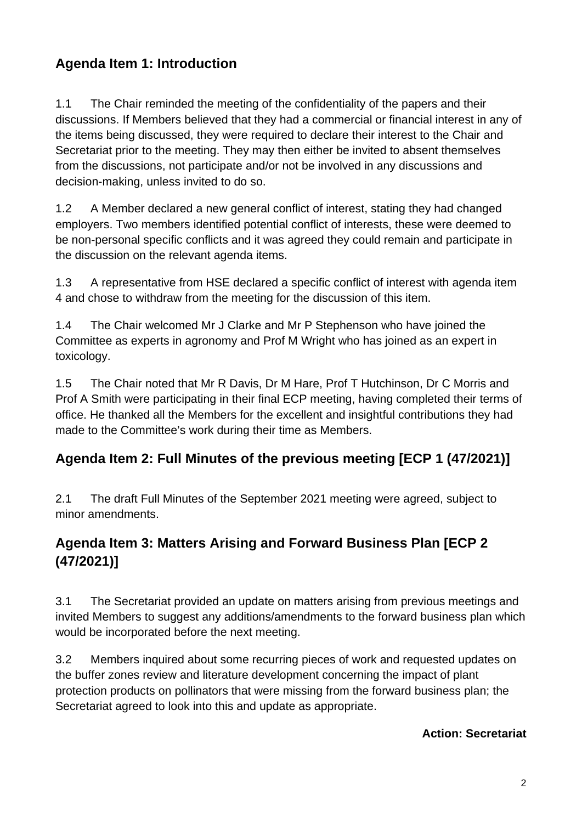### **Agenda Item 1: Introduction**

1.1 The Chair reminded the meeting of the confidentiality of the papers and their discussions. If Members believed that they had a commercial or financial interest in any of the items being discussed, they were required to declare their interest to the Chair and Secretariat prior to the meeting. They may then either be invited to absent themselves from the discussions, not participate and/or not be involved in any discussions and decision-making, unless invited to do so.

1.2 A Member declared a new general conflict of interest, stating they had changed employers. Two members identified potential conflict of interests, these were deemed to be non-personal specific conflicts and it was agreed they could remain and participate in the discussion on the relevant agenda items.

1.3 A representative from HSE declared a specific conflict of interest with agenda item 4 and chose to withdraw from the meeting for the discussion of this item.

1.4 The Chair welcomed Mr J Clarke and Mr P Stephenson who have joined the Committee as experts in agronomy and Prof M Wright who has joined as an expert in toxicology.

1.5 The Chair noted that Mr R Davis, Dr M Hare, Prof T Hutchinson, Dr C Morris and Prof A Smith were participating in their final ECP meeting, having completed their terms of office. He thanked all the Members for the excellent and insightful contributions they had made to the Committee's work during their time as Members.

### **Agenda Item 2: Full Minutes of the previous meeting [ECP 1 (47/2021)]**

2.1 The draft Full Minutes of the September 2021 meeting were agreed, subject to minor amendments.

### **Agenda Item 3: Matters Arising and Forward Business Plan [ECP 2 (47/2021)]**

3.1 The Secretariat provided an update on matters arising from previous meetings and invited Members to suggest any additions/amendments to the forward business plan which would be incorporated before the next meeting.

3.2 Members inquired about some recurring pieces of work and requested updates on the buffer zones review and literature development concerning the impact of plant protection products on pollinators that were missing from the forward business plan; the Secretariat agreed to look into this and update as appropriate.

#### **Action: Secretariat**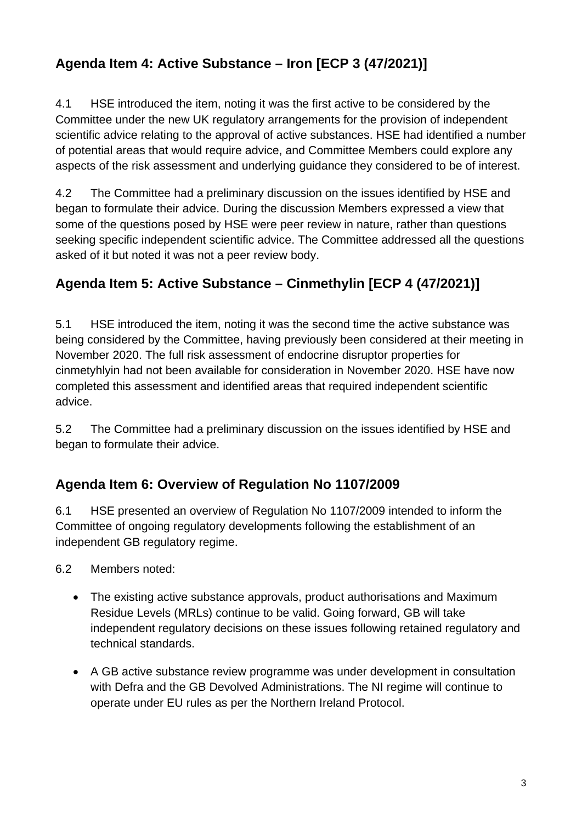### **Agenda Item 4: Active Substance – Iron [ECP 3 (47/2021)]**

4.1 HSE introduced the item, noting it was the first active to be considered by the Committee under the new UK regulatory arrangements for the provision of independent scientific advice relating to the approval of active substances. HSE had identified a number of potential areas that would require advice, and Committee Members could explore any aspects of the risk assessment and underlying guidance they considered to be of interest.

4.2 The Committee had a preliminary discussion on the issues identified by HSE and began to formulate their advice. During the discussion Members expressed a view that some of the questions posed by HSE were peer review in nature, rather than questions seeking specific independent scientific advice. The Committee addressed all the questions asked of it but noted it was not a peer review body.

### **Agenda Item 5: Active Substance – Cinmethylin [ECP 4 (47/2021)]**

5.1 HSE introduced the item, noting it was the second time the active substance was being considered by the Committee, having previously been considered at their meeting in November 2020. The full risk assessment of endocrine disruptor properties for cinmetyhlyin had not been available for consideration in November 2020. HSE have now completed this assessment and identified areas that required independent scientific advice.

5.2 The Committee had a preliminary discussion on the issues identified by HSE and began to formulate their advice.

### **Agenda Item 6: Overview of Regulation No 1107/2009**

6.1 HSE presented an overview of Regulation No 1107/2009 intended to inform the Committee of ongoing regulatory developments following the establishment of an independent GB regulatory regime.

- 6.2 Members noted:
	- The existing active substance approvals, product authorisations and Maximum Residue Levels (MRLs) continue to be valid. Going forward, GB will take independent regulatory decisions on these issues following retained regulatory and technical standards.
	- A GB active substance review programme was under development in consultation with Defra and the GB Devolved Administrations. The NI regime will continue to operate under EU rules as per the Northern Ireland Protocol.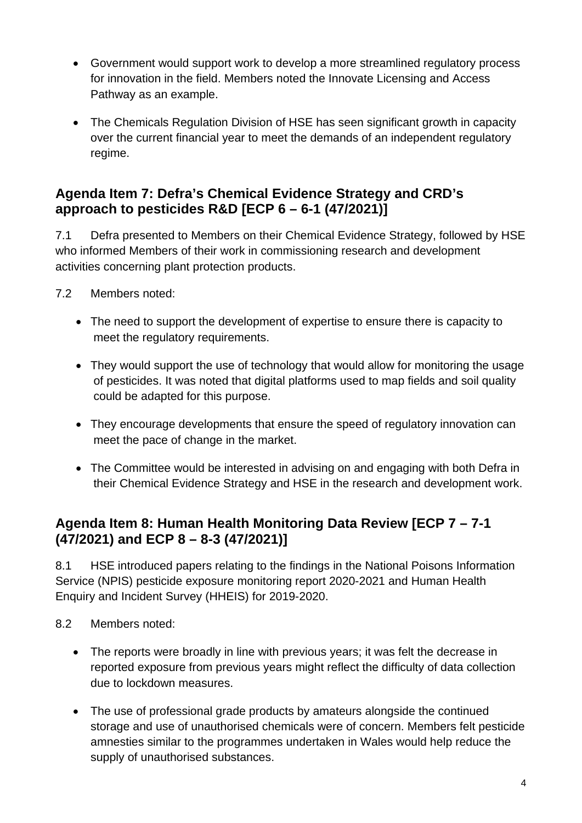- Government would support work to develop a more streamlined regulatory process for innovation in the field. Members noted the Innovate Licensing and Access Pathway as an example.
- The Chemicals Regulation Division of HSE has seen significant growth in capacity over the current financial year to meet the demands of an independent regulatory regime.

### **Agenda Item 7: Defra's Chemical Evidence Strategy and CRD's approach to pesticides R&D [ECP 6 – 6-1 (47/2021)]**

7.1 Defra presented to Members on their Chemical Evidence Strategy, followed by HSE who informed Members of their work in commissioning research and development activities concerning plant protection products.

- 7.2 Members noted:
	- The need to support the development of expertise to ensure there is capacity to meet the regulatory requirements.
	- They would support the use of technology that would allow for monitoring the usage of pesticides. It was noted that digital platforms used to map fields and soil quality could be adapted for this purpose.
	- They encourage developments that ensure the speed of regulatory innovation can meet the pace of change in the market.
	- The Committee would be interested in advising on and engaging with both Defra in their Chemical Evidence Strategy and HSE in the research and development work.

#### **Agenda Item 8: Human Health Monitoring Data Review [ECP 7 – 7-1 (47/2021) and ECP 8 – 8-3 (47/2021)]**

8.1 HSE introduced papers relating to the findings in the National Poisons Information Service (NPIS) pesticide exposure monitoring report 2020-2021 and Human Health Enquiry and Incident Survey (HHEIS) for 2019-2020.

- 8.2 Members noted:
	- The reports were broadly in line with previous years; it was felt the decrease in reported exposure from previous years might reflect the difficulty of data collection due to lockdown measures.
	- The use of professional grade products by amateurs alongside the continued storage and use of unauthorised chemicals were of concern. Members felt pesticide amnesties similar to the programmes undertaken in Wales would help reduce the supply of unauthorised substances.